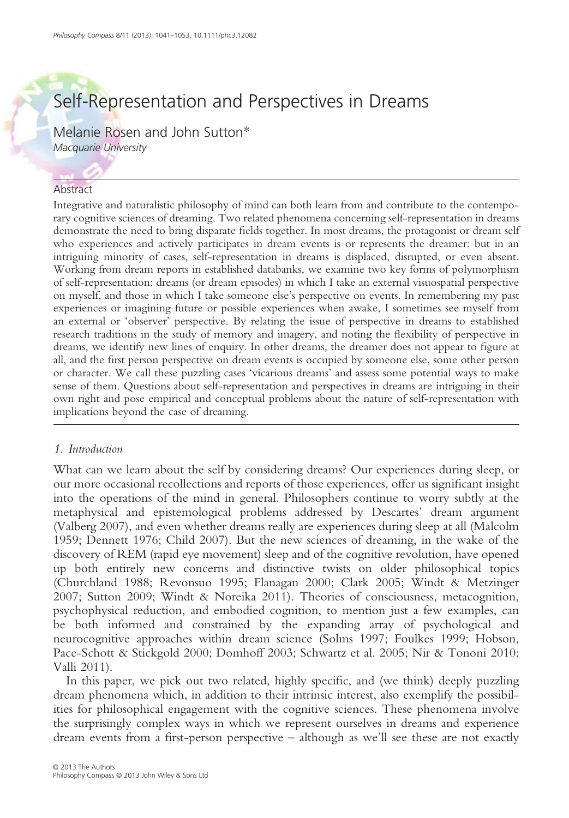# Self-Representation and Perspectives in Dreams

Melanie Rosen and John Sutton\* Macquarie University

#### Abstract

Integrative and naturalistic philosophy of mind can both learn from and contribute to the contemporary cognitive sciences of dreaming. Two related phenomena concerning self-representation in dreams demonstrate the need to bring disparate fields together. In most dreams, the protagonist or dream self who experiences and actively participates in dream events is or represents the dreamer: but in an intriguing minority of cases, self-representation in dreams is displaced, disrupted, or even absent. Working from dream reports in established databanks, we examine two key forms of polymorphism of self-representation: dreams (or dream episodes) in which I take an external visuospatial perspective on myself, and those in which I take someone else's perspective on events. In remembering my past experiences or imagining future or possible experiences when awake, I sometimes see myself from an external or 'observer' perspective. By relating the issue of perspective in dreams to established research traditions in the study of memory and imagery, and noting the flexibility of perspective in dreams, we identify new lines of enquiry. In other dreams, the dreamer does not appear to figure at all, and the first person perspective on dream events is occupied by someone else, some other person or character. We call these puzzling cases 'vicarious dreams' and assess some potential ways to make sense of them. Questions about self-representation and perspectives in dreams are intriguing in their own right and pose empirical and conceptual problems about the nature of self-representation with implications beyond the case of dreaming.

## 1. Introduction

What can we learn about the self by considering dreams? Our experiences during sleep, or our more occasional recollections and reports of those experiences, offer us significant insight into the operations of the mind in general. Philosophers continue to worry subtly at the metaphysical and epistemological problems addressed by Descartes' dream argument (Valberg 2007), and even whether dreams really are experiences during sleep at all (Malcolm 1959; Dennett 1976; Child 2007). But the new sciences of dreaming, in the wake of the discovery of REM (rapid eye movement) sleep and of the cognitive revolution, have opened up both entirely new concerns and distinctive twists on older philosophical topics (Churchland 1988; Revonsuo 1995; Flanagan 2000; Clark 2005; Windt & Metzinger 2007; Sutton 2009; Windt & Noreika 2011). Theories of consciousness, metacognition, psychophysical reduction, and embodied cognition, to mention just a few examples, can be both informed and constrained by the expanding array of psychological and neurocognitive approaches within dream science (Solms 1997; Foulkes 1999; Hobson, Pace-Schott & Stickgold 2000; Domhoff 2003; Schwartz et al. 2005; Nir & Tononi 2010; Valli 2011).

In this paper, we pick out two related, highly specific, and (we think) deeply puzzling dream phenomena which, in addition to their intrinsic interest, also exemplify the possibilities for philosophical engagement with the cognitive sciences. These phenomena involve the surprisingly complex ways in which we represent ourselves in dreams and experience dream events from a first-person perspective – although as we'll see these are not exactly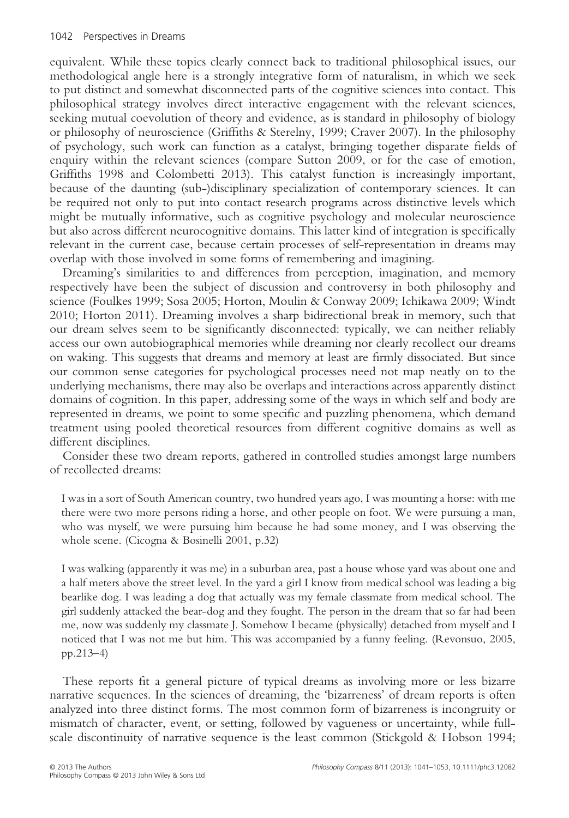equivalent. While these topics clearly connect back to traditional philosophical issues, our methodological angle here is a strongly integrative form of naturalism, in which we seek to put distinct and somewhat disconnected parts of the cognitive sciences into contact. This philosophical strategy involves direct interactive engagement with the relevant sciences, seeking mutual coevolution of theory and evidence, as is standard in philosophy of biology or philosophy of neuroscience (Griffiths & Sterelny, 1999; Craver 2007). In the philosophy of psychology, such work can function as a catalyst, bringing together disparate fields of enquiry within the relevant sciences (compare Sutton 2009, or for the case of emotion, Griffiths 1998 and Colombetti 2013). This catalyst function is increasingly important, because of the daunting (sub-)disciplinary specialization of contemporary sciences. It can be required not only to put into contact research programs across distinctive levels which might be mutually informative, such as cognitive psychology and molecular neuroscience but also across different neurocognitive domains. This latter kind of integration is specifically relevant in the current case, because certain processes of self-representation in dreams may overlap with those involved in some forms of remembering and imagining.

Dreaming's similarities to and differences from perception, imagination, and memory respectively have been the subject of discussion and controversy in both philosophy and science (Foulkes 1999; Sosa 2005; Horton, Moulin & Conway 2009; Ichikawa 2009; Windt 2010; Horton 2011). Dreaming involves a sharp bidirectional break in memory, such that our dream selves seem to be significantly disconnected: typically, we can neither reliably access our own autobiographical memories while dreaming nor clearly recollect our dreams on waking. This suggests that dreams and memory at least are firmly dissociated. But since our common sense categories for psychological processes need not map neatly on to the underlying mechanisms, there may also be overlaps and interactions across apparently distinct domains of cognition. In this paper, addressing some of the ways in which self and body are represented in dreams, we point to some specific and puzzling phenomena, which demand treatment using pooled theoretical resources from different cognitive domains as well as different disciplines.

Consider these two dream reports, gathered in controlled studies amongst large numbers of recollected dreams:

I was in a sort of South American country, two hundred years ago, I was mounting a horse: with me there were two more persons riding a horse, and other people on foot. We were pursuing a man, who was myself, we were pursuing him because he had some money, and I was observing the whole scene. (Cicogna & Bosinelli 2001, p.32)

I was walking (apparently it was me) in a suburban area, past a house whose yard was about one and a half meters above the street level. In the yard a girl I know from medical school was leading a big bearlike dog. I was leading a dog that actually was my female classmate from medical school. The girl suddenly attacked the bear-dog and they fought. The person in the dream that so far had been me, now was suddenly my classmate J. Somehow I became (physically) detached from myself and I noticed that I was not me but him. This was accompanied by a funny feeling. (Revonsuo, 2005, pp.213–4)

These reports fit a general picture of typical dreams as involving more or less bizarre narrative sequences. In the sciences of dreaming, the 'bizarreness' of dream reports is often analyzed into three distinct forms. The most common form of bizarreness is incongruity or mismatch of character, event, or setting, followed by vagueness or uncertainty, while fullscale discontinuity of narrative sequence is the least common (Stickgold & Hobson 1994;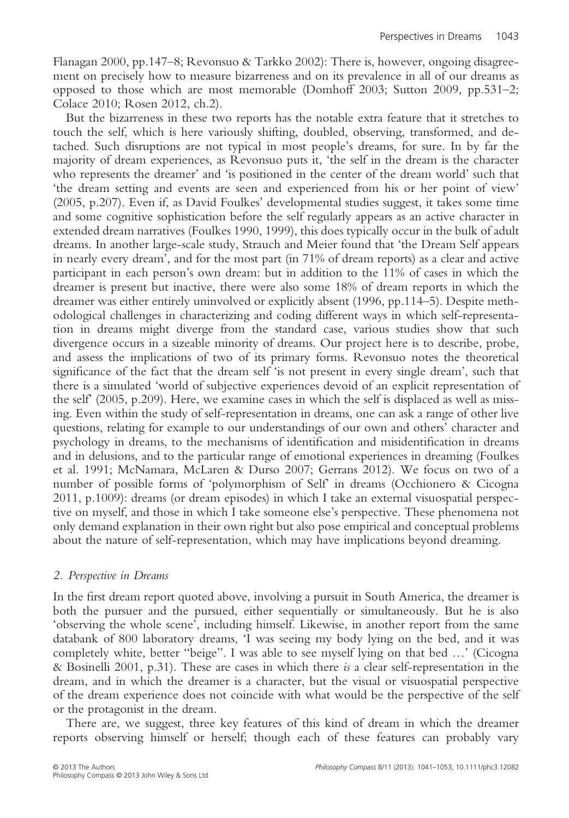Flanagan 2000, pp.147–8; Revonsuo & Tarkko 2002): There is, however, ongoing disagreement on precisely how to measure bizarreness and on its prevalence in all of our dreams as opposed to those which are most memorable (Domhoff 2003; Sutton 2009, pp.531–2; Colace 2010; Rosen 2012, ch.2).

But the bizarreness in these two reports has the notable extra feature that it stretches to touch the self, which is here variously shifting, doubled, observing, transformed, and detached. Such disruptions are not typical in most people's dreams, for sure. In by far the majority of dream experiences, as Revonsuo puts it, 'the self in the dream is the character who represents the dreamer' and 'is positioned in the center of the dream world' such that 'the dream setting and events are seen and experienced from his or her point of view' (2005, p.207). Even if, as David Foulkes' developmental studies suggest, it takes some time and some cognitive sophistication before the self regularly appears as an active character in extended dream narratives (Foulkes 1990, 1999), this does typically occur in the bulk of adult dreams. In another large-scale study, Strauch and Meier found that 'the Dream Self appears in nearly every dream', and for the most part (in 71% of dream reports) as a clear and active participant in each person's own dream: but in addition to the 11% of cases in which the dreamer is present but inactive, there were also some 18% of dream reports in which the dreamer was either entirely uninvolved or explicitly absent (1996, pp.114–5). Despite methodological challenges in characterizing and coding different ways in which self-representation in dreams might diverge from the standard case, various studies show that such divergence occurs in a sizeable minority of dreams. Our project here is to describe, probe, and assess the implications of two of its primary forms. Revonsuo notes the theoretical significance of the fact that the dream self 'is not present in every single dream', such that there is a simulated 'world of subjective experiences devoid of an explicit representation of the self' (2005, p.209). Here, we examine cases in which the self is displaced as well as missing. Even within the study of self-representation in dreams, one can ask a range of other live questions, relating for example to our understandings of our own and others' character and psychology in dreams, to the mechanisms of identification and misidentification in dreams and in delusions, and to the particular range of emotional experiences in dreaming (Foulkes et al. 1991; McNamara, McLaren & Durso 2007; Gerrans 2012). We focus on two of a number of possible forms of 'polymorphism of Self' in dreams (Occhionero & Cicogna 2011, p.1009): dreams (or dream episodes) in which I take an external visuospatial perspective on myself, and those in which I take someone else's perspective. These phenomena not only demand explanation in their own right but also pose empirical and conceptual problems about the nature of self-representation, which may have implications beyond dreaming.

## 2. Perspective in Dreams

In the first dream report quoted above, involving a pursuit in South America, the dreamer is both the pursuer and the pursued, either sequentially or simultaneously. But he is also 'observing the whole scene', including himself. Likewise, in another report from the same databank of 800 laboratory dreams, 'I was seeing my body lying on the bed, and it was completely white, better "beige". I was able to see myself lying on that bed …' (Cicogna & Bosinelli 2001, p.31). These are cases in which there is a clear self-representation in the dream, and in which the dreamer is a character, but the visual or visuospatial perspective of the dream experience does not coincide with what would be the perspective of the self or the protagonist in the dream.

There are, we suggest, three key features of this kind of dream in which the dreamer reports observing himself or herself; though each of these features can probably vary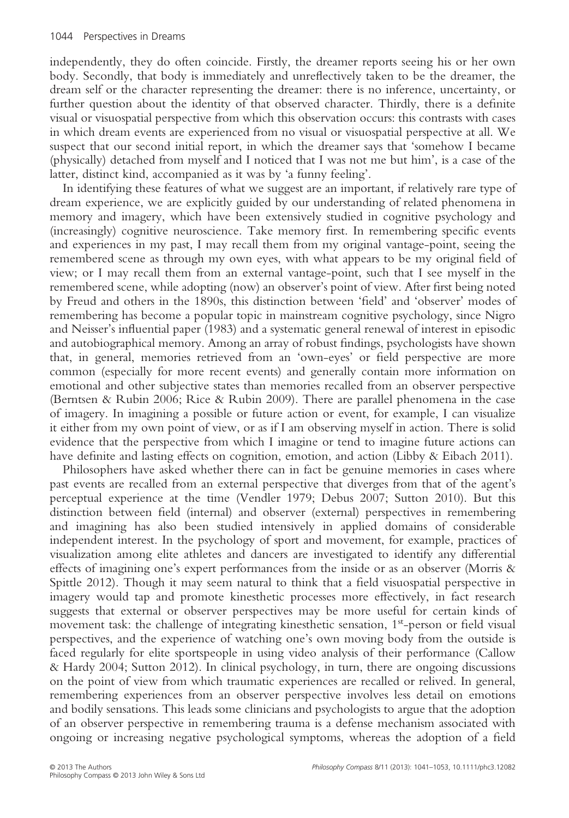independently, they do often coincide. Firstly, the dreamer reports seeing his or her own body. Secondly, that body is immediately and unreflectively taken to be the dreamer, the dream self or the character representing the dreamer: there is no inference, uncertainty, or further question about the identity of that observed character. Thirdly, there is a definite visual or visuospatial perspective from which this observation occurs: this contrasts with cases in which dream events are experienced from no visual or visuospatial perspective at all. We suspect that our second initial report, in which the dreamer says that 'somehow I became (physically) detached from myself and I noticed that I was not me but him', is a case of the latter, distinct kind, accompanied as it was by 'a funny feeling'.

In identifying these features of what we suggest are an important, if relatively rare type of dream experience, we are explicitly guided by our understanding of related phenomena in memory and imagery, which have been extensively studied in cognitive psychology and (increasingly) cognitive neuroscience. Take memory first. In remembering specific events and experiences in my past, I may recall them from my original vantage-point, seeing the remembered scene as through my own eyes, with what appears to be my original field of view; or I may recall them from an external vantage-point, such that I see myself in the remembered scene, while adopting (now) an observer's point of view. After first being noted by Freud and others in the 1890s, this distinction between 'field' and 'observer' modes of remembering has become a popular topic in mainstream cognitive psychology, since Nigro and Neisser's influential paper (1983) and a systematic general renewal of interest in episodic and autobiographical memory. Among an array of robust findings, psychologists have shown that, in general, memories retrieved from an 'own-eyes' or field perspective are more common (especially for more recent events) and generally contain more information on emotional and other subjective states than memories recalled from an observer perspective (Berntsen & Rubin 2006; Rice & Rubin 2009). There are parallel phenomena in the case of imagery. In imagining a possible or future action or event, for example, I can visualize it either from my own point of view, or as if I am observing myself in action. There is solid evidence that the perspective from which I imagine or tend to imagine future actions can have definite and lasting effects on cognition, emotion, and action (Libby & Eibach 2011).

Philosophers have asked whether there can in fact be genuine memories in cases where past events are recalled from an external perspective that diverges from that of the agent's perceptual experience at the time (Vendler 1979; Debus 2007; Sutton 2010). But this distinction between field (internal) and observer (external) perspectives in remembering and imagining has also been studied intensively in applied domains of considerable independent interest. In the psychology of sport and movement, for example, practices of visualization among elite athletes and dancers are investigated to identify any differential effects of imagining one's expert performances from the inside or as an observer (Morris & Spittle 2012). Though it may seem natural to think that a field visuospatial perspective in imagery would tap and promote kinesthetic processes more effectively, in fact research suggests that external or observer perspectives may be more useful for certain kinds of movement task: the challenge of integrating kinesthetic sensation, 1<sup>st</sup>-person or field visual perspectives, and the experience of watching one's own moving body from the outside is faced regularly for elite sportspeople in using video analysis of their performance (Callow & Hardy 2004; Sutton 2012). In clinical psychology, in turn, there are ongoing discussions on the point of view from which traumatic experiences are recalled or relived. In general, remembering experiences from an observer perspective involves less detail on emotions and bodily sensations. This leads some clinicians and psychologists to argue that the adoption of an observer perspective in remembering trauma is a defense mechanism associated with ongoing or increasing negative psychological symptoms, whereas the adoption of a field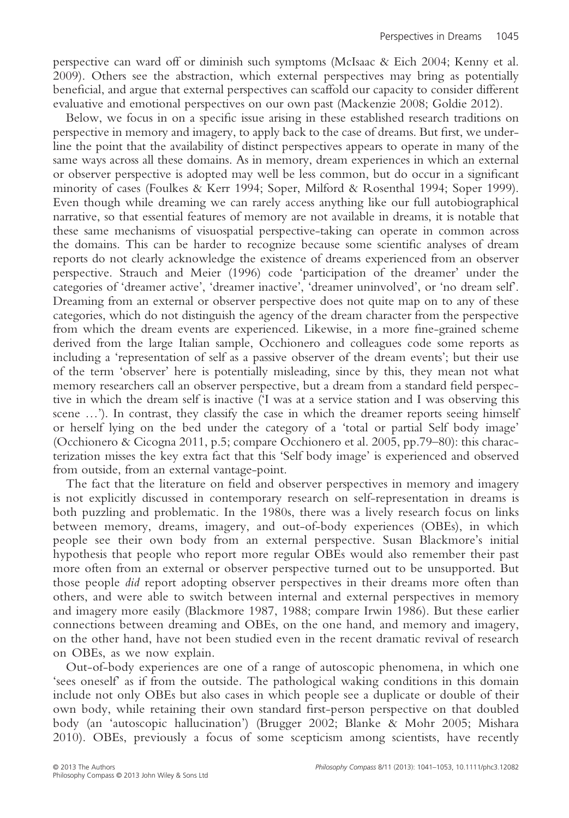perspective can ward off or diminish such symptoms (McIsaac & Eich 2004; Kenny et al. 2009). Others see the abstraction, which external perspectives may bring as potentially beneficial, and argue that external perspectives can scaffold our capacity to consider different evaluative and emotional perspectives on our own past (Mackenzie 2008; Goldie 2012).

Below, we focus in on a specific issue arising in these established research traditions on perspective in memory and imagery, to apply back to the case of dreams. But first, we underline the point that the availability of distinct perspectives appears to operate in many of the same ways across all these domains. As in memory, dream experiences in which an external or observer perspective is adopted may well be less common, but do occur in a significant minority of cases (Foulkes & Kerr 1994; Soper, Milford & Rosenthal 1994; Soper 1999). Even though while dreaming we can rarely access anything like our full autobiographical narrative, so that essential features of memory are not available in dreams, it is notable that these same mechanisms of visuospatial perspective-taking can operate in common across the domains. This can be harder to recognize because some scientific analyses of dream reports do not clearly acknowledge the existence of dreams experienced from an observer perspective. Strauch and Meier (1996) code 'participation of the dreamer' under the categories of 'dreamer active', 'dreamer inactive', 'dreamer uninvolved', or 'no dream self'. Dreaming from an external or observer perspective does not quite map on to any of these categories, which do not distinguish the agency of the dream character from the perspective from which the dream events are experienced. Likewise, in a more fine-grained scheme derived from the large Italian sample, Occhionero and colleagues code some reports as including a 'representation of self as a passive observer of the dream events'; but their use of the term 'observer' here is potentially misleading, since by this, they mean not what memory researchers call an observer perspective, but a dream from a standard field perspective in which the dream self is inactive ('I was at a service station and I was observing this scene …'). In contrast, they classify the case in which the dreamer reports seeing himself or herself lying on the bed under the category of a 'total or partial Self body image' (Occhionero & Cicogna 2011, p.5; compare Occhionero et al. 2005, pp.79–80): this characterization misses the key extra fact that this 'Self body image' is experienced and observed from outside, from an external vantage-point.

The fact that the literature on field and observer perspectives in memory and imagery is not explicitly discussed in contemporary research on self-representation in dreams is both puzzling and problematic. In the 1980s, there was a lively research focus on links between memory, dreams, imagery, and out-of-body experiences (OBEs), in which people see their own body from an external perspective. Susan Blackmore's initial hypothesis that people who report more regular OBEs would also remember their past more often from an external or observer perspective turned out to be unsupported. But those people *did* report adopting observer perspectives in their dreams more often than others, and were able to switch between internal and external perspectives in memory and imagery more easily (Blackmore 1987, 1988; compare Irwin 1986). But these earlier connections between dreaming and OBEs, on the one hand, and memory and imagery, on the other hand, have not been studied even in the recent dramatic revival of research on OBEs, as we now explain.

Out-of-body experiences are one of a range of autoscopic phenomena, in which one 'sees oneself' as if from the outside. The pathological waking conditions in this domain include not only OBEs but also cases in which people see a duplicate or double of their own body, while retaining their own standard first-person perspective on that doubled body (an 'autoscopic hallucination') (Brugger 2002; Blanke & Mohr 2005; Mishara 2010). OBEs, previously a focus of some scepticism among scientists, have recently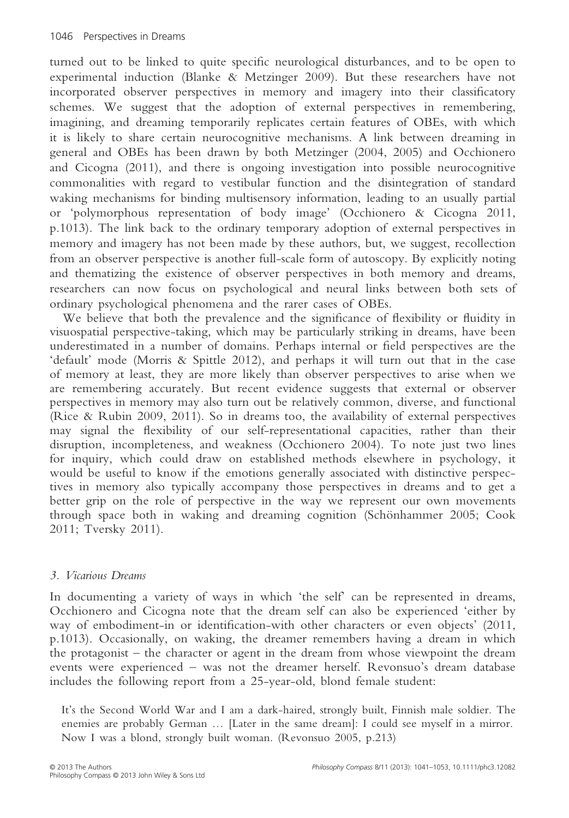turned out to be linked to quite specific neurological disturbances, and to be open to experimental induction (Blanke & Metzinger 2009). But these researchers have not incorporated observer perspectives in memory and imagery into their classificatory schemes. We suggest that the adoption of external perspectives in remembering, imagining, and dreaming temporarily replicates certain features of OBEs, with which it is likely to share certain neurocognitive mechanisms. A link between dreaming in general and OBEs has been drawn by both Metzinger (2004, 2005) and Occhionero and Cicogna (2011), and there is ongoing investigation into possible neurocognitive commonalities with regard to vestibular function and the disintegration of standard waking mechanisms for binding multisensory information, leading to an usually partial or 'polymorphous representation of body image' (Occhionero & Cicogna 2011, p.1013). The link back to the ordinary temporary adoption of external perspectives in memory and imagery has not been made by these authors, but, we suggest, recollection from an observer perspective is another full-scale form of autoscopy. By explicitly noting and thematizing the existence of observer perspectives in both memory and dreams, researchers can now focus on psychological and neural links between both sets of ordinary psychological phenomena and the rarer cases of OBEs.

We believe that both the prevalence and the significance of flexibility or fluidity in visuospatial perspective-taking, which may be particularly striking in dreams, have been underestimated in a number of domains. Perhaps internal or field perspectives are the 'default' mode (Morris & Spittle 2012), and perhaps it will turn out that in the case of memory at least, they are more likely than observer perspectives to arise when we are remembering accurately. But recent evidence suggests that external or observer perspectives in memory may also turn out be relatively common, diverse, and functional (Rice & Rubin 2009, 2011). So in dreams too, the availability of external perspectives may signal the flexibility of our self-representational capacities, rather than their disruption, incompleteness, and weakness (Occhionero 2004). To note just two lines for inquiry, which could draw on established methods elsewhere in psychology, it would be useful to know if the emotions generally associated with distinctive perspectives in memory also typically accompany those perspectives in dreams and to get a better grip on the role of perspective in the way we represent our own movements through space both in waking and dreaming cognition (Schönhammer 2005; Cook 2011; Tversky 2011).

# 3. Vicarious Dreams

In documenting a variety of ways in which 'the self' can be represented in dreams, Occhionero and Cicogna note that the dream self can also be experienced 'either by way of embodiment-in or identification-with other characters or even objects' (2011, p.1013). Occasionally, on waking, the dreamer remembers having a dream in which the protagonist – the character or agent in the dream from whose viewpoint the dream events were experienced – was not the dreamer herself. Revonsuo's dream database includes the following report from a 25-year-old, blond female student:

It's the Second World War and I am a dark-haired, strongly built, Finnish male soldier. The enemies are probably German … [Later in the same dream]: I could see myself in a mirror. Now I was a blond, strongly built woman. (Revonsuo 2005, p.213)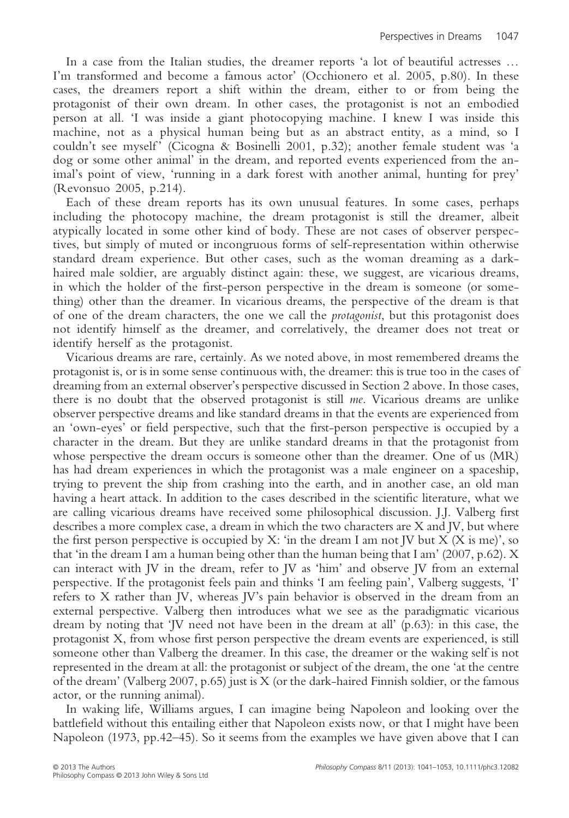In a case from the Italian studies, the dreamer reports 'a lot of beautiful actresses … I'm transformed and become a famous actor' (Occhionero et al. 2005, p.80). In these cases, the dreamers report a shift within the dream, either to or from being the protagonist of their own dream. In other cases, the protagonist is not an embodied person at all. 'I was inside a giant photocopying machine. I knew I was inside this machine, not as a physical human being but as an abstract entity, as a mind, so I couldn't see myself ' (Cicogna & Bosinelli 2001, p.32); another female student was 'a dog or some other animal' in the dream, and reported events experienced from the animal's point of view, 'running in a dark forest with another animal, hunting for prey' (Revonsuo 2005, p.214).

Each of these dream reports has its own unusual features. In some cases, perhaps including the photocopy machine, the dream protagonist is still the dreamer, albeit atypically located in some other kind of body. These are not cases of observer perspectives, but simply of muted or incongruous forms of self-representation within otherwise standard dream experience. But other cases, such as the woman dreaming as a darkhaired male soldier, are arguably distinct again: these, we suggest, are vicarious dreams, in which the holder of the first-person perspective in the dream is someone (or something) other than the dreamer. In vicarious dreams, the perspective of the dream is that of one of the dream characters, the one we call the protagonist, but this protagonist does not identify himself as the dreamer, and correlatively, the dreamer does not treat or identify herself as the protagonist.

Vicarious dreams are rare, certainly. As we noted above, in most remembered dreams the protagonist is, or is in some sense continuous with, the dreamer: this is true too in the cases of dreaming from an external observer's perspective discussed in Section 2 above. In those cases, there is no doubt that the observed protagonist is still me. Vicarious dreams are unlike observer perspective dreams and like standard dreams in that the events are experienced from an 'own-eyes' or field perspective, such that the first-person perspective is occupied by a character in the dream. But they are unlike standard dreams in that the protagonist from whose perspective the dream occurs is someone other than the dreamer. One of us (MR) has had dream experiences in which the protagonist was a male engineer on a spaceship, trying to prevent the ship from crashing into the earth, and in another case, an old man having a heart attack. In addition to the cases described in the scientific literature, what we are calling vicarious dreams have received some philosophical discussion. J.J. Valberg first describes a more complex case, a dream in which the two characters are X and JV, but where the first person perspective is occupied by X: 'in the dream I am not JV but  $X$  ( $X$  is me)', so that 'in the dream I am a human being other than the human being that I am' (2007, p.62). X can interact with JV in the dream, refer to JV as 'him' and observe JV from an external perspective. If the protagonist feels pain and thinks 'I am feeling pain', Valberg suggests, 'I' refers to X rather than JV, whereas JV's pain behavior is observed in the dream from an external perspective. Valberg then introduces what we see as the paradigmatic vicarious dream by noting that 'JV need not have been in the dream at all' (p.63): in this case, the protagonist X, from whose first person perspective the dream events are experienced, is still someone other than Valberg the dreamer. In this case, the dreamer or the waking self is not represented in the dream at all: the protagonist or subject of the dream, the one 'at the centre of the dream' (Valberg 2007, p.65) just is X (or the dark-haired Finnish soldier, or the famous actor, or the running animal).

In waking life, Williams argues, I can imagine being Napoleon and looking over the battlefield without this entailing either that Napoleon exists now, or that I might have been Napoleon (1973, pp.42–45). So it seems from the examples we have given above that I can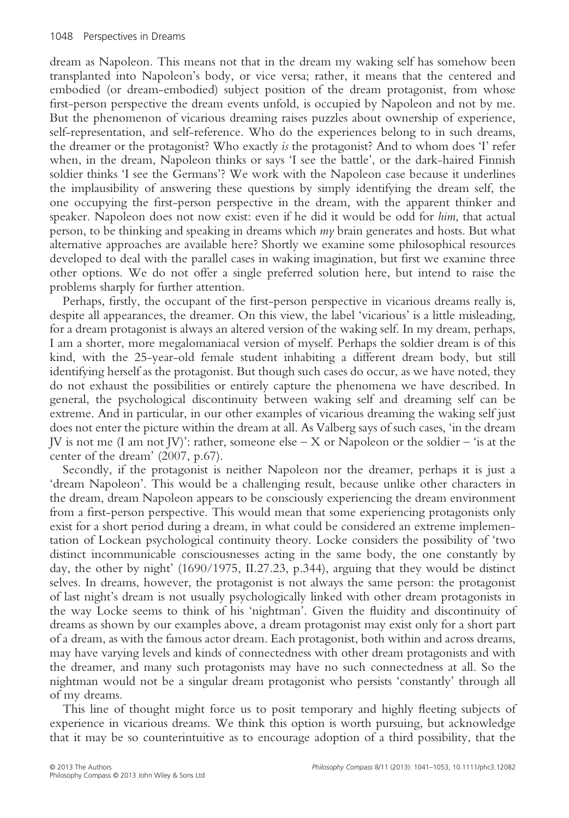dream as Napoleon. This means not that in the dream my waking self has somehow been transplanted into Napoleon's body, or vice versa; rather, it means that the centered and embodied (or dream-embodied) subject position of the dream protagonist, from whose first-person perspective the dream events unfold, is occupied by Napoleon and not by me. But the phenomenon of vicarious dreaming raises puzzles about ownership of experience, self-representation, and self-reference. Who do the experiences belong to in such dreams, the dreamer or the protagonist? Who exactly is the protagonist? And to whom does 'I' refer when, in the dream, Napoleon thinks or says 'I see the battle', or the dark-haired Finnish soldier thinks 'I see the Germans'? We work with the Napoleon case because it underlines the implausibility of answering these questions by simply identifying the dream self, the one occupying the first-person perspective in the dream, with the apparent thinker and speaker. Napoleon does not now exist: even if he did it would be odd for him, that actual person, to be thinking and speaking in dreams which  $my$  brain generates and hosts. But what alternative approaches are available here? Shortly we examine some philosophical resources developed to deal with the parallel cases in waking imagination, but first we examine three other options. We do not offer a single preferred solution here, but intend to raise the problems sharply for further attention.

Perhaps, firstly, the occupant of the first-person perspective in vicarious dreams really is, despite all appearances, the dreamer. On this view, the label 'vicarious' is a little misleading, for a dream protagonist is always an altered version of the waking self. In my dream, perhaps, I am a shorter, more megalomaniacal version of myself. Perhaps the soldier dream is of this kind, with the 25-year-old female student inhabiting a different dream body, but still identifying herself as the protagonist. But though such cases do occur, as we have noted, they do not exhaust the possibilities or entirely capture the phenomena we have described. In general, the psychological discontinuity between waking self and dreaming self can be extreme. And in particular, in our other examples of vicarious dreaming the waking self just does not enter the picture within the dream at all. As Valberg says of such cases, 'in the dream JV is not me (I am not JV)': rather, someone else  $-X$  or Napoleon or the soldier – 'is at the center of the dream' (2007, p.67).

Secondly, if the protagonist is neither Napoleon nor the dreamer, perhaps it is just a 'dream Napoleon'. This would be a challenging result, because unlike other characters in the dream, dream Napoleon appears to be consciously experiencing the dream environment from a first-person perspective. This would mean that some experiencing protagonists only exist for a short period during a dream, in what could be considered an extreme implementation of Lockean psychological continuity theory. Locke considers the possibility of 'two distinct incommunicable consciousnesses acting in the same body, the one constantly by day, the other by night' (1690/1975, II.27.23, p.344), arguing that they would be distinct selves. In dreams, however, the protagonist is not always the same person: the protagonist of last night's dream is not usually psychologically linked with other dream protagonists in the way Locke seems to think of his 'nightman'. Given the fluidity and discontinuity of dreams as shown by our examples above, a dream protagonist may exist only for a short part of a dream, as with the famous actor dream. Each protagonist, both within and across dreams, may have varying levels and kinds of connectedness with other dream protagonists and with the dreamer, and many such protagonists may have no such connectedness at all. So the nightman would not be a singular dream protagonist who persists 'constantly' through all of my dreams.

This line of thought might force us to posit temporary and highly fleeting subjects of experience in vicarious dreams. We think this option is worth pursuing, but acknowledge that it may be so counterintuitive as to encourage adoption of a third possibility, that the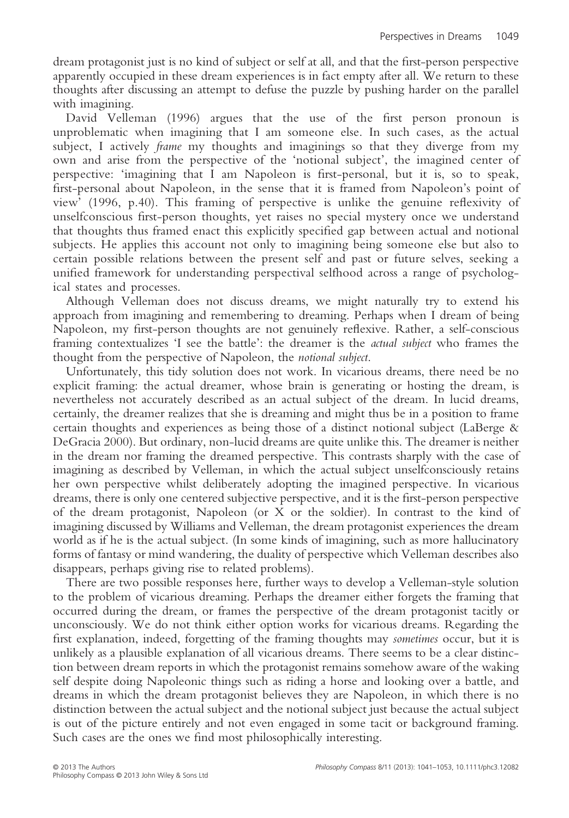dream protagonist just is no kind of subject or self at all, and that the first-person perspective apparently occupied in these dream experiences is in fact empty after all. We return to these thoughts after discussing an attempt to defuse the puzzle by pushing harder on the parallel with imagining.

David Velleman (1996) argues that the use of the first person pronoun is unproblematic when imagining that I am someone else. In such cases, as the actual subject, I actively frame my thoughts and imaginings so that they diverge from my own and arise from the perspective of the 'notional subject', the imagined center of perspective: 'imagining that I am Napoleon is first-personal, but it is, so to speak, first-personal about Napoleon, in the sense that it is framed from Napoleon's point of view' (1996, p.40). This framing of perspective is unlike the genuine reflexivity of unselfconscious first-person thoughts, yet raises no special mystery once we understand that thoughts thus framed enact this explicitly specified gap between actual and notional subjects. He applies this account not only to imagining being someone else but also to certain possible relations between the present self and past or future selves, seeking a unified framework for understanding perspectival selfhood across a range of psychological states and processes.

Although Velleman does not discuss dreams, we might naturally try to extend his approach from imagining and remembering to dreaming. Perhaps when I dream of being Napoleon, my first-person thoughts are not genuinely reflexive. Rather, a self-conscious framing contextualizes 'I see the battle': the dreamer is the actual subject who frames the thought from the perspective of Napoleon, the notional subject.

Unfortunately, this tidy solution does not work. In vicarious dreams, there need be no explicit framing: the actual dreamer, whose brain is generating or hosting the dream, is nevertheless not accurately described as an actual subject of the dream. In lucid dreams, certainly, the dreamer realizes that she is dreaming and might thus be in a position to frame certain thoughts and experiences as being those of a distinct notional subject (LaBerge & DeGracia 2000). But ordinary, non-lucid dreams are quite unlike this. The dreamer is neither in the dream nor framing the dreamed perspective. This contrasts sharply with the case of imagining as described by Velleman, in which the actual subject unselfconsciously retains her own perspective whilst deliberately adopting the imagined perspective. In vicarious dreams, there is only one centered subjective perspective, and it is the first-person perspective of the dream protagonist, Napoleon (or X or the soldier). In contrast to the kind of imagining discussed by Williams and Velleman, the dream protagonist experiences the dream world as if he is the actual subject. (In some kinds of imagining, such as more hallucinatory forms of fantasy or mind wandering, the duality of perspective which Velleman describes also disappears, perhaps giving rise to related problems).

There are two possible responses here, further ways to develop a Velleman-style solution to the problem of vicarious dreaming. Perhaps the dreamer either forgets the framing that occurred during the dream, or frames the perspective of the dream protagonist tacitly or unconsciously. We do not think either option works for vicarious dreams. Regarding the first explanation, indeed, forgetting of the framing thoughts may sometimes occur, but it is unlikely as a plausible explanation of all vicarious dreams. There seems to be a clear distinction between dream reports in which the protagonist remains somehow aware of the waking self despite doing Napoleonic things such as riding a horse and looking over a battle, and dreams in which the dream protagonist believes they are Napoleon, in which there is no distinction between the actual subject and the notional subject just because the actual subject is out of the picture entirely and not even engaged in some tacit or background framing. Such cases are the ones we find most philosophically interesting.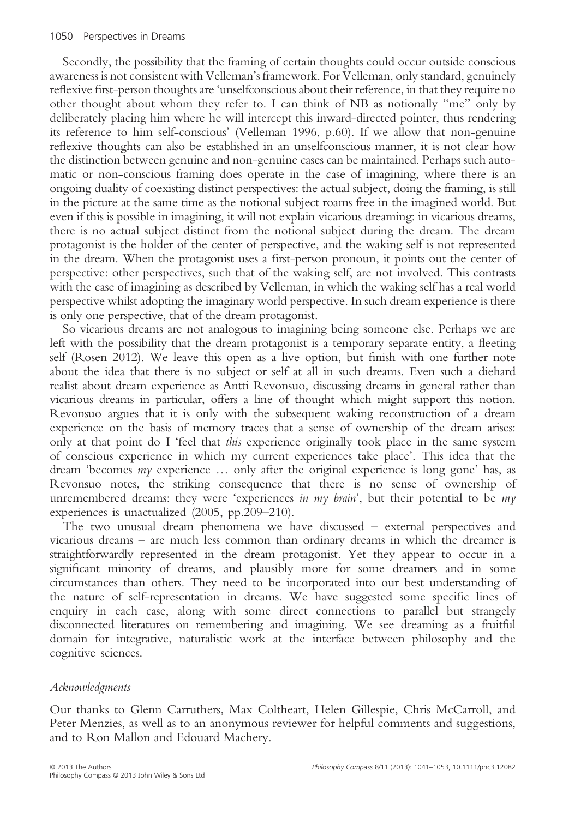Secondly, the possibility that the framing of certain thoughts could occur outside conscious awareness is not consistent with Velleman's framework. For Velleman, only standard, genuinely reflexive first-person thoughts are 'unselfconscious about their reference, in that they require no other thought about whom they refer to. I can think of NB as notionally "me" only by deliberately placing him where he will intercept this inward-directed pointer, thus rendering its reference to him self-conscious' (Velleman 1996, p.60). If we allow that non-genuine reflexive thoughts can also be established in an unselfconscious manner, it is not clear how the distinction between genuine and non-genuine cases can be maintained. Perhaps such automatic or non-conscious framing does operate in the case of imagining, where there is an ongoing duality of coexisting distinct perspectives: the actual subject, doing the framing, is still in the picture at the same time as the notional subject roams free in the imagined world. But even if this is possible in imagining, it will not explain vicarious dreaming: in vicarious dreams, there is no actual subject distinct from the notional subject during the dream. The dream protagonist is the holder of the center of perspective, and the waking self is not represented in the dream. When the protagonist uses a first-person pronoun, it points out the center of perspective: other perspectives, such that of the waking self, are not involved. This contrasts with the case of imagining as described by Velleman, in which the waking self has a real world perspective whilst adopting the imaginary world perspective. In such dream experience is there is only one perspective, that of the dream protagonist.

So vicarious dreams are not analogous to imagining being someone else. Perhaps we are left with the possibility that the dream protagonist is a temporary separate entity, a fleeting self (Rosen 2012). We leave this open as a live option, but finish with one further note about the idea that there is no subject or self at all in such dreams. Even such a diehard realist about dream experience as Antti Revonsuo, discussing dreams in general rather than vicarious dreams in particular, offers a line of thought which might support this notion. Revonsuo argues that it is only with the subsequent waking reconstruction of a dream experience on the basis of memory traces that a sense of ownership of the dream arises: only at that point do I 'feel that this experience originally took place in the same system of conscious experience in which my current experiences take place'. This idea that the dream 'becomes  $my$  experience  $\ldots$  only after the original experience is long gone' has, as Revonsuo notes, the striking consequence that there is no sense of ownership of unremembered dreams: they were 'experiences in my brain', but their potential to be  $m\gamma$ experiences is unactualized (2005, pp.209–210).

The two unusual dream phenomena we have discussed – external perspectives and vicarious dreams – are much less common than ordinary dreams in which the dreamer is straightforwardly represented in the dream protagonist. Yet they appear to occur in a significant minority of dreams, and plausibly more for some dreamers and in some circumstances than others. They need to be incorporated into our best understanding of the nature of self-representation in dreams. We have suggested some specific lines of enquiry in each case, along with some direct connections to parallel but strangely disconnected literatures on remembering and imagining. We see dreaming as a fruitful domain for integrative, naturalistic work at the interface between philosophy and the cognitive sciences.

## Acknowledgments

Our thanks to Glenn Carruthers, Max Coltheart, Helen Gillespie, Chris McCarroll, and Peter Menzies, as well as to an anonymous reviewer for helpful comments and suggestions, and to Ron Mallon and Edouard Machery.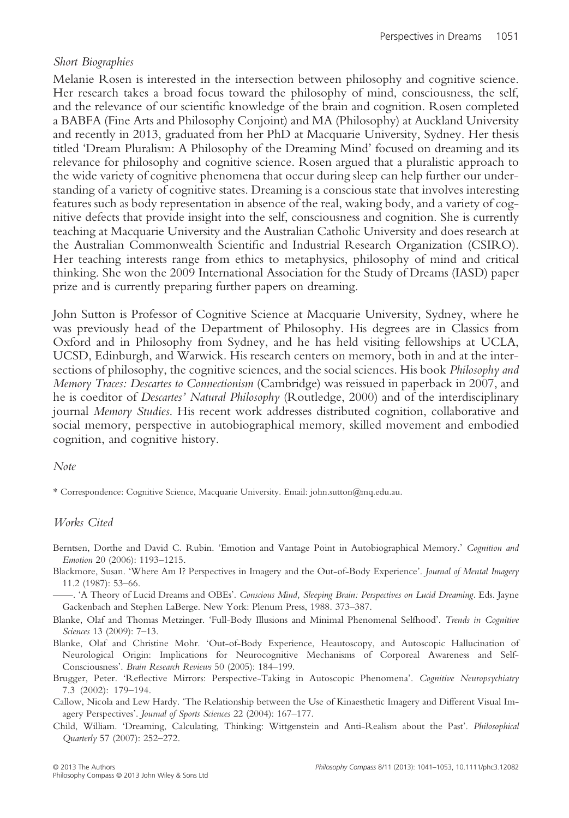# Short Biographies

Melanie Rosen is interested in the intersection between philosophy and cognitive science. Her research takes a broad focus toward the philosophy of mind, consciousness, the self, and the relevance of our scientific knowledge of the brain and cognition. Rosen completed a BABFA (Fine Arts and Philosophy Conjoint) and MA (Philosophy) at Auckland University and recently in 2013, graduated from her PhD at Macquarie University, Sydney. Her thesis titled 'Dream Pluralism: A Philosophy of the Dreaming Mind' focused on dreaming and its relevance for philosophy and cognitive science. Rosen argued that a pluralistic approach to the wide variety of cognitive phenomena that occur during sleep can help further our understanding of a variety of cognitive states. Dreaming is a conscious state that involves interesting features such as body representation in absence of the real, waking body, and a variety of cognitive defects that provide insight into the self, consciousness and cognition. She is currently teaching at Macquarie University and the Australian Catholic University and does research at the Australian Commonwealth Scientific and Industrial Research Organization (CSIRO). Her teaching interests range from ethics to metaphysics, philosophy of mind and critical thinking. She won the 2009 International Association for the Study of Dreams (IASD) paper prize and is currently preparing further papers on dreaming.

John Sutton is Professor of Cognitive Science at Macquarie University, Sydney, where he was previously head of the Department of Philosophy. His degrees are in Classics from Oxford and in Philosophy from Sydney, and he has held visiting fellowships at UCLA, UCSD, Edinburgh, and Warwick. His research centers on memory, both in and at the intersections of philosophy, the cognitive sciences, and the social sciences. His book *Philosophy and* Memory Traces: Descartes to Connectionism (Cambridge) was reissued in paperback in 2007, and he is coeditor of *Descartes' Natural Philosophy* (Routledge, 2000) and of the interdisciplinary journal Memory Studies. His recent work addresses distributed cognition, collaborative and social memory, perspective in autobiographical memory, skilled movement and embodied cognition, and cognitive history.

## Note

\* Correspondence: Cognitive Science, Macquarie University. Email: john.sutton@mq.edu.au.

## Works Cited

- Berntsen, Dorthe and David C. Rubin. 'Emotion and Vantage Point in Autobiographical Memory.' Cognition and Emotion 20 (2006): 1193–1215.
- Blackmore, Susan. 'Where Am I? Perspectives in Imagery and the Out-of-Body Experience'. Journal of Mental Imagery 11.2 (1987): 53–66.

——. 'A Theory of Lucid Dreams and OBEs'. Conscious Mind, Sleeping Brain: Perspectives on Lucid Dreaming. Eds. Jayne Gackenbach and Stephen LaBerge. New York: Plenum Press, 1988. 373–387.

- Blanke, Olaf and Thomas Metzinger. 'Full-Body Illusions and Minimal Phenomenal Selfhood'. Trends in Cognitive Sciences 13 (2009): 7-13.
- Blanke, Olaf and Christine Mohr. 'Out-of-Body Experience, Heautoscopy, and Autoscopic Hallucination of Neurological Origin: Implications for Neurocognitive Mechanisms of Corporeal Awareness and Self-Consciousness'. Brain Research Reviews 50 (2005): 184–199.
- Brugger, Peter. 'Reflective Mirrors: Perspective-Taking in Autoscopic Phenomena'. Cognitive Neuropsychiatry 7.3 (2002): 179–194.

Callow, Nicola and Lew Hardy. 'The Relationship between the Use of Kinaesthetic Imagery and Different Visual Imagery Perspectives'. Journal of Sports Sciences 22 (2004): 167–177.

Child, William. 'Dreaming, Calculating, Thinking: Wittgenstein and Anti-Realism about the Past'. Philosophical Quarterly 57 (2007): 252–272.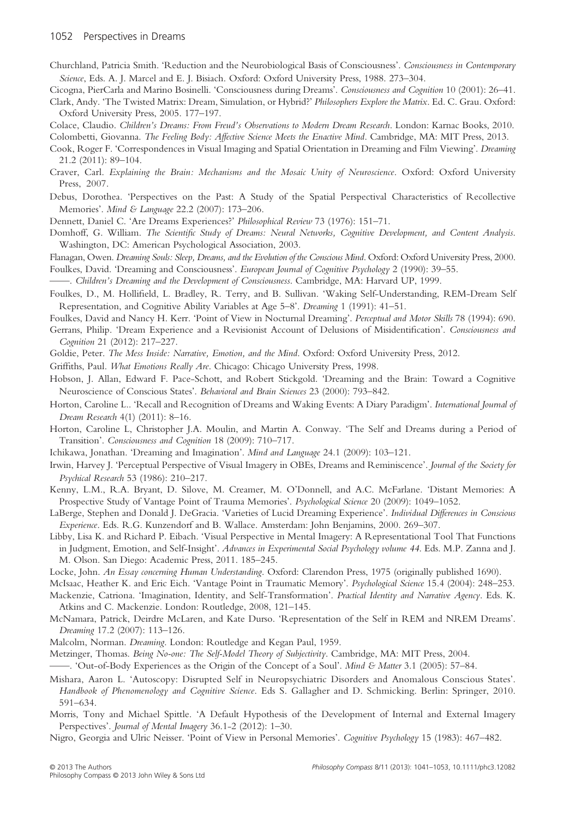- Churchland, Patricia Smith. 'Reduction and the Neurobiological Basis of Consciousness'. Consciousness in Contemporary Science, Eds. A. J. Marcel and E. J. Bisiach. Oxford: Oxford University Press, 1988. 273–304.
- Cicogna, PierCarla and Marino Bosinelli. 'Consciousness during Dreams'. Consciousness and Cognition 10 (2001): 26–41.
- Clark, Andy. 'The Twisted Matrix: Dream, Simulation, or Hybrid?' Philosophers Explore the Matrix. Ed. C. Grau. Oxford: Oxford University Press, 2005. 177–197.
- Colace, Claudio. Children's Dreams: From Freud's Observations to Modern Dream Research. London: Karnac Books, 2010.
- Colombetti, Giovanna. The Feeling Body: Affective Science Meets the Enactive Mind. Cambridge, MA: MIT Press, 2013.
- Cook, Roger F. 'Correspondences in Visual Imaging and Spatial Orientation in Dreaming and Film Viewing'. Dreaming 21.2 (2011): 89–104.
- Craver, Carl. Explaining the Brain: Mechanisms and the Mosaic Unity of Neuroscience. Oxford: Oxford University Press, 2007.
- Debus, Dorothea. 'Perspectives on the Past: A Study of the Spatial Perspectival Characteristics of Recollective Memories'. Mind & Language 22.2 (2007): 173–206.
- Dennett, Daniel C. 'Are Dreams Experiences?' Philosophical Review 73 (1976): 151–71.
- Domhoff, G. William. The Scientific Study of Dreams: Neural Networks, Cognitive Development, and Content Analysis. Washington, DC: American Psychological Association, 2003.
- Flanagan, Owen. Dreaming Souls: Sleep, Dreams, and the Evolution of the Conscious Mind. Oxford: Oxford University Press, 2000. Foulkes, David. 'Dreaming and Consciousness'. European Journal of Cognitive Psychology 2 (1990): 39–55.
- ——. Children's Dreaming and the Development of Consciousness. Cambridge, MA: Harvard UP, 1999.
- Foulkes, D., M. Hollifield, L. Bradley, R. Terry, and B. Sullivan. 'Waking Self-Understanding, REM-Dream Self Representation, and Cognitive Ability Variables at Age 5–8'. Dreaming 1 (1991): 41–51.
- Foulkes, David and Nancy H. Kerr. 'Point of View in Nocturnal Dreaming'. Perceptual and Motor Skills 78 (1994): 690.
- Gerrans, Philip. 'Dream Experience and a Revisionist Account of Delusions of Misidentification'. Consciousness and Cognition 21 (2012): 217–227.
- Goldie, Peter. The Mess Inside: Narrative, Emotion, and the Mind. Oxford: Oxford University Press, 2012.
- Griffiths, Paul. What Emotions Really Are. Chicago: Chicago University Press, 1998.
- Hobson, J. Allan, Edward F. Pace-Schott, and Robert Stickgold. 'Dreaming and the Brain: Toward a Cognitive Neuroscience of Conscious States'. Behavioral and Brain Sciences 23 (2000): 793–842.
- Horton, Caroline L.. 'Recall and Recognition of Dreams and Waking Events: A Diary Paradigm'. International Journal of Dream Research 4(1) (2011): 8–16.
- Horton, Caroline L, Christopher J.A. Moulin, and Martin A. Conway. 'The Self and Dreams during a Period of Transition'. Consciousness and Cognition 18 (2009): 710–717.
- Ichikawa, Jonathan. 'Dreaming and Imagination'. Mind and Language 24.1 (2009): 103–121.
- Irwin, Harvey J. 'Perceptual Perspective of Visual Imagery in OBEs, Dreams and Reminiscence'. Journal of the Society for Psychical Research 53 (1986): 210–217.
- Kenny, L.M., R.A. Bryant, D. Silove, M. Creamer, M. O'Donnell, and A.C. McFarlane. 'Distant Memories: A Prospective Study of Vantage Point of Trauma Memories'. Psychological Science 20 (2009): 1049–1052.
- LaBerge, Stephen and Donald J. DeGracia. 'Varieties of Lucid Dreaming Experience'. Individual Differences in Conscious Experience. Eds. R.G. Kunzendorf and B. Wallace. Amsterdam: John Benjamins, 2000. 269–307.
- Libby, Lisa K. and Richard P. Eibach. 'Visual Perspective in Mental Imagery: A Representational Tool That Functions in Judgment, Emotion, and Self-Insight'. Advances in Experimental Social Psychology volume 44. Eds. M.P. Zanna and J. M. Olson. San Diego: Academic Press, 2011. 185–245.
- Locke, John. An Essay concerning Human Understanding. Oxford: Clarendon Press, 1975 (originally published 1690).
- McIsaac, Heather K. and Eric Eich. 'Vantage Point in Traumatic Memory'. Psychological Science 15.4 (2004): 248–253.
- Mackenzie, Catriona. 'Imagination, Identity, and Self-Transformation'. Practical Identity and Narrative Agency. Eds. K. Atkins and C. Mackenzie. London: Routledge, 2008, 121–145.
- McNamara, Patrick, Deirdre McLaren, and Kate Durso. 'Representation of the Self in REM and NREM Dreams'. Dreaming 17.2 (2007): 113–126.
- Malcolm, Norman. Dreaming. London: Routledge and Kegan Paul, 1959.
- Metzinger, Thomas. Being No-one: The Self-Model Theory of Subjectivity. Cambridge, MA: MIT Press, 2004.

——. 'Out-of-Body Experiences as the Origin of the Concept of a Soul'. Mind & Matter 3.1 (2005): 57–84.

- Mishara, Aaron L. 'Autoscopy: Disrupted Self in Neuropsychiatric Disorders and Anomalous Conscious States'. Handbook of Phenomenology and Cognitive Science. Eds S. Gallagher and D. Schmicking. Berlin: Springer, 2010. 591–634.
- Morris, Tony and Michael Spittle. 'A Default Hypothesis of the Development of Internal and External Imagery Perspectives'. Journal of Mental Imagery 36.1-2 (2012): 1–30.
- Nigro, Georgia and Ulric Neisser. 'Point of View in Personal Memories'. Cognitive Psychology 15 (1983): 467–482.